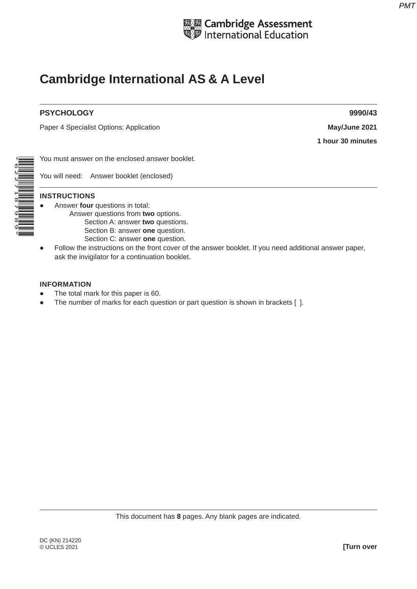

# **Cambridge International AS & A Level**

## **PSYCHOLOGY 9990/43**

Paper 4 Specialist Options: Application **May/June 2021**

**1 hour 30 minutes**



You must answer on the enclosed answer booklet.

You will need: Answer booklet (enclosed)

#### **INSTRUCTIONS**

- Answer **four** questions in total:
	- Answer questions from **two** options. Section A: answer **two** questions. Section B: answer **one** question. Section C: answer **one** question.
- Follow the instructions on the front cover of the answer booklet. If you need additional answer paper, ask the invigilator for a continuation booklet.

#### **INFORMATION**

- The total mark for this paper is 60.
- The number of marks for each question or part question is shown in brackets [].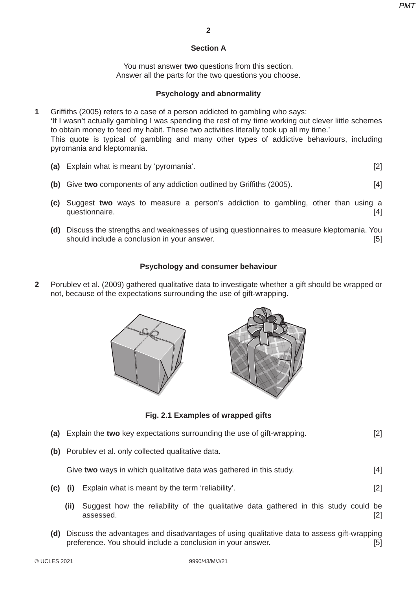# **Section A**

You must answer **two** questions from this section. Answer all the parts for the two questions you choose.

# **Psychology and abnormality**

**1** Griffiths (2005) refers to a case of a person addicted to gambling who says: 'If I wasn't actually gambling I was spending the rest of my time working out clever little schemes to obtain money to feed my habit. These two activities literally took up all my time.' This quote is typical of gambling and many other types of addictive behaviours, including pyromania and kleptomania.

- **(a)** Explain what is meant by 'pyromania'. **Explaining**  $[2]$
- **(b)** Give **two** components of any addiction outlined by Griffiths (2005). [4]
- **(c)** Suggest **two** ways to measure a person's addiction to gambling, other than using a questionnaire. [4] **Example 2018** 12: The set of the set of the set of the set of the set of the set of the set of the set of the set of the set of the set of the set of the set of the set of the set of the set of the set
- **(d)** Discuss the strengths and weaknesses of using questionnaires to measure kleptomania. You should include a conclusion in your answer. [5]

# **Psychology and consumer behaviour**

**2** Porublev et al. (2009) gathered qualitative data to investigate whether a gift should be wrapped or not, because of the expectations surrounding the use of gift-wrapping.



**Fig. 2.1 Examples of wrapped gifts**

|  | (a) Explain the two key expectations surrounding the use of gift-wrapping. | $[2]$ |
|--|----------------------------------------------------------------------------|-------|
|  |                                                                            |       |

 **(b)** Porublev et al. only collected qualitative data.

Give **two** ways in which qualitative data was gathered in this study. [4]

- **(c) (i)** Explain what is meant by the term 'reliability'. [2]
	- **(ii)** Suggest how the reliability of the qualitative data gathered in this study could be  $\,$  assessed.  $[2]$
- **(d)** Discuss the advantages and disadvantages of using qualitative data to assess gift-wrapping preference. You should include a conclusion in your answer. [5]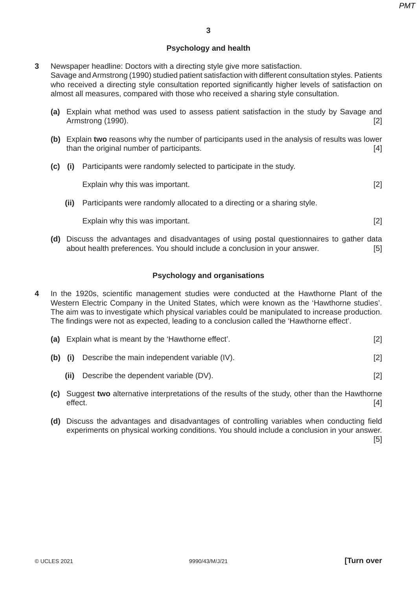# **Psychology and health**

- **3** Newspaper headline: Doctors with a directing style give more satisfaction. Savage and Armstrong (1990) studied patient satisfaction with different consultation styles. Patients who received a directing style consultation reported significantly higher levels of satisfaction on almost all measures, compared with those who received a sharing style consultation.
	- **(a)** Explain what method was used to assess patient satisfaction in the study by Savage and Armstrong (1990). [2]
	- **(b)** Explain **two** reasons why the number of participants used in the analysis of results was lower than the original number of participants. [4]
	- **(c) (i)** Participants were randomly selected to participate in the study.

**Explain why this was important.**  [2]

 **(ii)** Participants were randomly allocated to a directing or a sharing style.

**Explain why this was important.**  [2]

 **(d)** Discuss the advantages and disadvantages of using postal questionnaires to gather data about health preferences. You should include a conclusion in your answer. [5]

## **Psychology and organisations**

- **4** In the 1920s, scientific management studies were conducted at the Hawthorne Plant of the Western Electric Company in the United States, which were known as the 'Hawthorne studies'. The aim was to investigate which physical variables could be manipulated to increase production. The findings were not as expected, leading to a conclusion called the 'Hawthorne effect'.
	- **(a)** Explain what is meant by the 'Hawthorne effect'. [2]
	- **(b)** (i) Describe the main independent variable (IV). [2]
		- **(ii)** Describe the dependent variable (DV). [2]
	- **(c)** Suggest **two** alternative interpretations of the results of the study, other than the Hawthorne effect. [4]
	- **(d)** Discuss the advantages and disadvantages of controlling variables when conducting field experiments on physical working conditions. You should include a conclusion in your answer.  $[5]$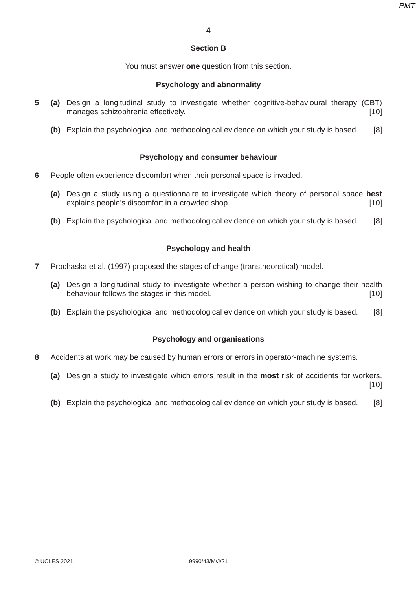## **Section B**

You must answer **one** question from this section.

#### **Psychology and abnormality**

- **5 (a)** Design a longitudinal study to investigate whether cognitive-behavioural therapy (CBT) manages schizophrenia effectively.
	- **(b)** Explain the psychological and methodological evidence on which your study is based. [8]

#### **Psychology and consumer behaviour**

- **6** People often experience discomfort when their personal space is invaded.
	- **(a)** Design a study using a questionnaire to investigate which theory of personal space **best** explains people's discomfort in a crowded shop. [10]
	- **(b)** Explain the psychological and methodological evidence on which your study is based. [8]

## **Psychology and health**

- **7** Prochaska et al. (1997) proposed the stages of change (transtheoretical) model.
	- **(a)** Design a longitudinal study to investigate whether a person wishing to change their health behaviour follows the stages in this model. **Example 2018** 10 and 10]
	- **(b)** Explain the psychological and methodological evidence on which your study is based. [8]

## **Psychology and organisations**

- **8** Accidents at work may be caused by human errors or errors in operator-machine systems.
	- **(a)** Design a study to investigate which errors result in the **most** risk of accidents for workers.  $[10]$
	- **(b)** Explain the psychological and methodological evidence on which your study is based. [8]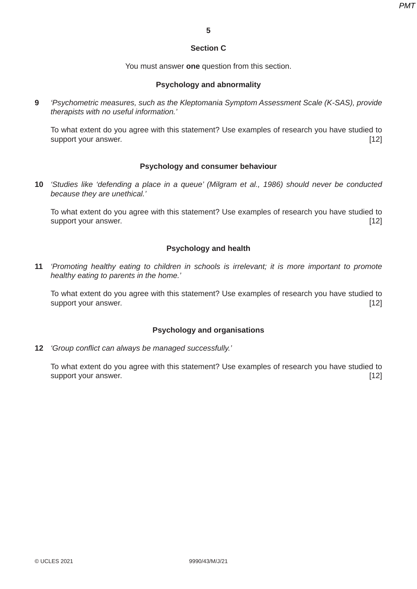#### **Section C**

You must answer **one** question from this section.

#### **Psychology and abnormality**

**9** *'Psychometric measures, such as the Kleptomania Symptom Assessment Scale (K-SAS), provide therapists with no useful information.'*

To what extent do you agree with this statement? Use examples of research you have studied to support your answer. **[12]** Support your answer.

#### **Psychology and consumer behaviour**

**10** *'Studies like 'defending a place in a queue' (Milgram et al., 1986) should never be conducted because they are unethical.'*

To what extent do you agree with this statement? Use examples of research you have studied to support your answer. **Example 20** Support your answer.

## **Psychology and health**

**11** *'Promoting healthy eating to children in schools is irrelevant; it is more important to promote healthy eating to parents in the home.'*

To what extent do you agree with this statement? Use examples of research you have studied to support your answer. [12]

## **Psychology and organisations**

**12** *'Group conflict can always be managed successfully.'*

To what extent do you agree with this statement? Use examples of research you have studied to support your answer. [12]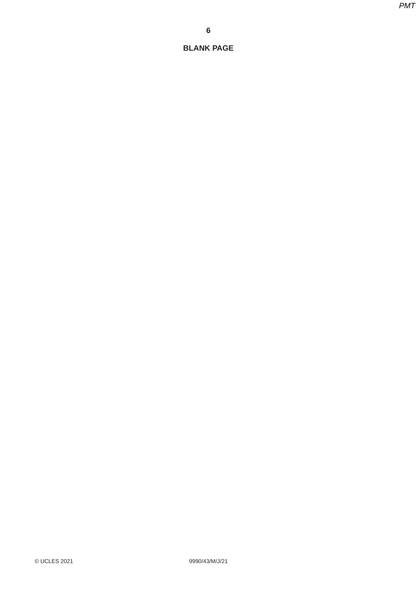# $6\phantom{a}$

## **BLANK PAGE**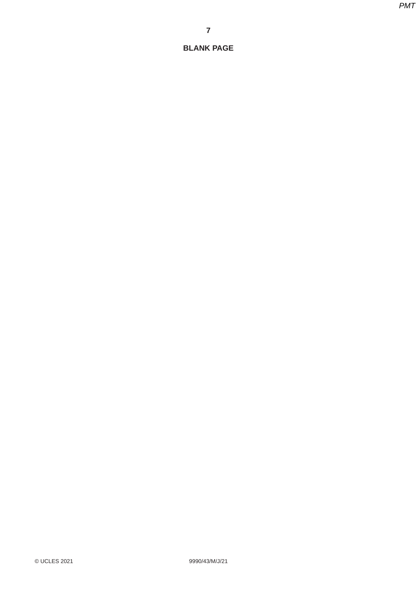# **BLANK PAGE**